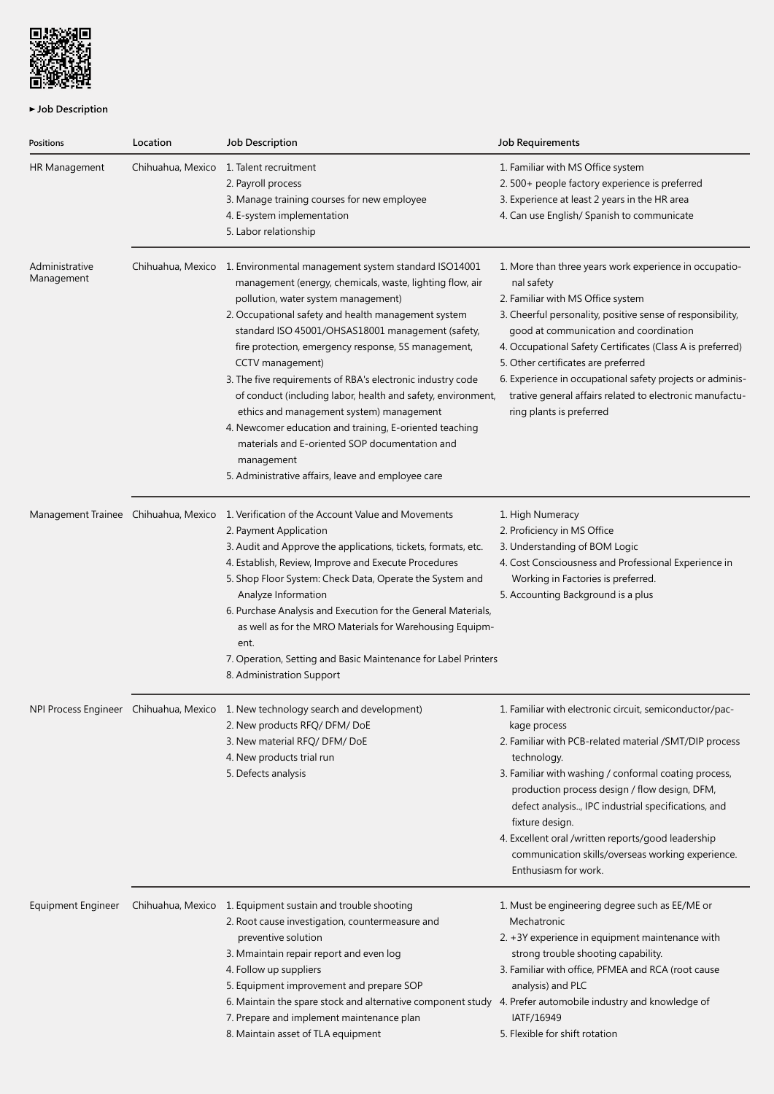

## ► Job Description

| Positions                            | Location          | <b>Job Description</b>                                                                                                                                                                                                                                                                                                                                                                                                                                                                                                                                                                                                                                                                                                      | <b>Job Requirements</b>                                                                                                                                                                                                                                                                                                                                                                                                                                                     |
|--------------------------------------|-------------------|-----------------------------------------------------------------------------------------------------------------------------------------------------------------------------------------------------------------------------------------------------------------------------------------------------------------------------------------------------------------------------------------------------------------------------------------------------------------------------------------------------------------------------------------------------------------------------------------------------------------------------------------------------------------------------------------------------------------------------|-----------------------------------------------------------------------------------------------------------------------------------------------------------------------------------------------------------------------------------------------------------------------------------------------------------------------------------------------------------------------------------------------------------------------------------------------------------------------------|
| HR Management                        | Chihuahua, Mexico | 1. Talent recruitment<br>2. Payroll process<br>3. Manage training courses for new employee<br>4. E-system implementation<br>5. Labor relationship                                                                                                                                                                                                                                                                                                                                                                                                                                                                                                                                                                           | 1. Familiar with MS Office system<br>2. 500+ people factory experience is preferred<br>3. Experience at least 2 years in the HR area<br>4. Can use English/ Spanish to communicate                                                                                                                                                                                                                                                                                          |
| Administrative<br>Management         |                   | Chihuahua, Mexico 1. Environmental management system standard ISO14001<br>management (energy, chemicals, waste, lighting flow, air<br>pollution, water system management)<br>2. Occupational safety and health management system<br>standard ISO 45001/OHSAS18001 management (safety,<br>fire protection, emergency response, 5S management,<br>CCTV management)<br>3. The five requirements of RBA's electronic industry code<br>of conduct (including labor, health and safety, environment,<br>ethics and management system) management<br>4. Newcomer education and training, E-oriented teaching<br>materials and E-oriented SOP documentation and<br>management<br>5. Administrative affairs, leave and employee care | 1. More than three years work experience in occupatio-<br>nal safety<br>2. Familiar with MS Office system<br>3. Cheerful personality, positive sense of responsibility,<br>good at communication and coordination<br>4. Occupational Safety Certificates (Class A is preferred)<br>5. Other certificates are preferred<br>6. Experience in occupational safety projects or adminis-<br>trative general affairs related to electronic manufactu-<br>ring plants is preferred |
| Management Trainee Chihuahua, Mexico |                   | 1. Verification of the Account Value and Movements<br>2. Payment Application<br>3. Audit and Approve the applications, tickets, formats, etc.<br>4. Establish, Review, Improve and Execute Procedures<br>5. Shop Floor System: Check Data, Operate the System and<br>Analyze Information<br>6. Purchase Analysis and Execution for the General Materials,<br>as well as for the MRO Materials for Warehousing Equipm-<br>ent.<br>7. Operation, Setting and Basic Maintenance for Label Printers<br>8. Administration Support                                                                                                                                                                                                | 1. High Numeracy<br>2. Proficiency in MS Office<br>3. Understanding of BOM Logic<br>4. Cost Consciousness and Professional Experience in<br>Working in Factories is preferred.<br>5. Accounting Background is a plus                                                                                                                                                                                                                                                        |
|                                      |                   | NPI Process Engineer Chihuahua, Mexico 1. New technology search and development)<br>2. New products RFQ/ DFM/ DoE<br>3. New material RFQ/ DFM/ DoE<br>4. New products trial run<br>5. Defects analysis                                                                                                                                                                                                                                                                                                                                                                                                                                                                                                                      | 1. Familiar with electronic circuit, semiconductor/pac-<br>kage process<br>2. Familiar with PCB-related material /SMT/DIP process<br>technology.<br>3. Familiar with washing / conformal coating process,<br>production process design / flow design, DFM,<br>defect analysis, IPC industrial specifications, and<br>fixture design.<br>4. Excellent oral /written reports/good leadership<br>communication skills/overseas working experience.<br>Enthusiasm for work.     |
| Equipment Engineer                   |                   | Chihuahua, Mexico 1. Equipment sustain and trouble shooting<br>2. Root cause investigation, countermeasure and<br>preventive solution<br>3. Mmaintain repair report and even log<br>4. Follow up suppliers<br>5. Equipment improvement and prepare SOP<br>6. Maintain the spare stock and alternative component study 4. Prefer automobile industry and knowledge of<br>7. Prepare and implement maintenance plan<br>8. Maintain asset of TLA equipment                                                                                                                                                                                                                                                                     | 1. Must be engineering degree such as EE/ME or<br>Mechatronic<br>2. +3Y experience in equipment maintenance with<br>strong trouble shooting capability.<br>3. Familiar with office, PFMEA and RCA (root cause<br>analysis) and PLC<br>IATF/16949<br>5. Flexible for shift rotation                                                                                                                                                                                          |